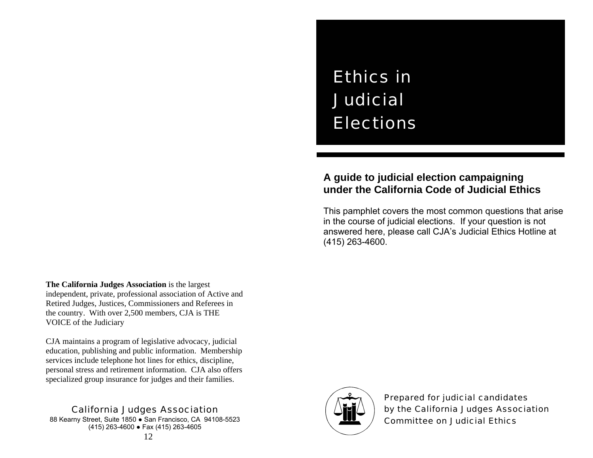# Ethics in Judicial Elections

# **A guide to judicial election campaigning under the California Code of Judicial Ethics**

This pamphlet covers the most common questions that arise in the course of judicial elections. If your question is not answered here, please call CJA's Judicial Ethics Hotline at (415) 263-4600.

**The California Judges Association** is the largest independent, private, professional association of Active and Retired Judges, Justices, Commissioners and Referees in the country. With over 2,500 members, CJA is THE VOICE of the Judiciary

CJA maintains a program of legislative advocacy, judicial education, publishing and public information. Membership services include telephone hot lines for ethics, discipline, personal stress and retirement information. CJA also offers specialized group insurance for judges and their families.

### California Judges Association

88 Kearny Street, Suite 1850 · San Francisco, CA 94108-5523 (415) 263-4600 ● Fax (415) 263-4605



Prepared for judicial candidates by the California Judges Association Committee on Judicial Ethics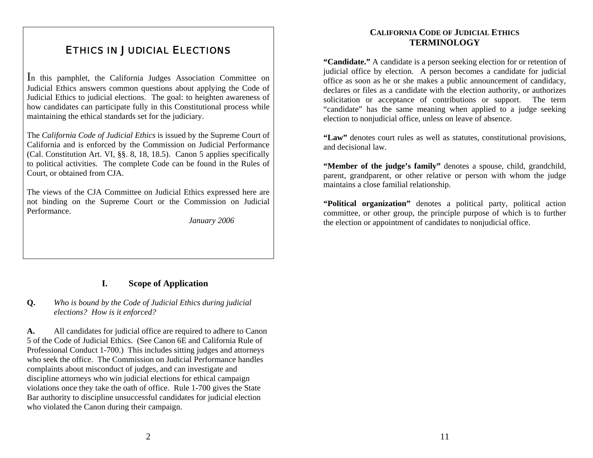## ETHICS IN JUDICIAL ELECTIONS

In this pamphlet, the California Judges Association Committee on Judicial Ethics answers common questions about applying the Code of Judicial Ethics to judicial elections. The goal: to heighten awareness of how candidates can participate fully in this Constitutional process while maintaining the ethical standards set for the judiciary.

The *California Code of Judicial Ethics* is issued by the Supreme Court of California and is enforced by the Commission on Judicial Performance (Cal. Constitution Art. VI, §§. 8, 18, 18.5). Canon 5 applies specifically to political activities. The complete Code can be found in the Rules of Court, or obtained from CJA.

The views of the CJA Committee on Judicial Ethics expressed here are not binding on the Supreme Court or the Commission on Judicial Performance.

*January 2006*

#### **I.Scope of Application**

#### **Q.** *Who is bound by the Code of Judicial Ethics during judicial elections? How is it enforced?*

**A.** All candidates for judicial office are required to adhere to Canon 5 of the Code of Judicial Ethics. (See Canon 6E and California Rule of Professional Conduct 1-700.) This includes sitting judges and attorneys who seek the office. The Commission on Judicial Performance handles complaints about misconduct of judges, and can investigate and discipline attorneys who win judicial elections for ethical campaign violations once they take the oath of office. Rule 1-700 gives the State Bar authority to discipline unsuccessful candidates for judicial election who violated the Canon during their campaign.

#### **CALIFORNIA CODE OF JUDICIAL ETHICSTERMINOLOGY**

**"Candidate."** A candidate is a person seeking election for or retention of judicial office by election. A person becomes a candidate for judicial office as soon as he or she makes a public announcement of candidacy, declares or files as a candidate with the election authority, or authorizes solicitation or acceptance of contributions or support. The term "candidate" has the same meaning when applied to a judge seeking election to nonjudicial office, unless on leave of absence.

**"Law"** denotes court rules as well as statutes, constitutional provisions, and decisional law.

**"Member of the judge's family"** denotes a spouse, child, grandchild, parent, grandparent, or other relative or person with whom the judge maintains a close familial relationship.

**"Political organization"** denotes a political party, political action committee, or other group, the principle purpose of which is to further the election or appointment of candidates to nonjudicial office.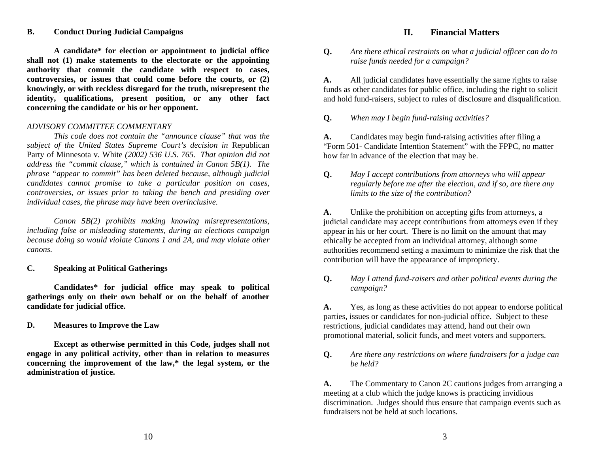#### **B. Conduct During Judicial Campaigns II. Financial Matters**

 **A candidate\* for election or appointment to judicial office shall not (1) make statements to the electorate or the appointing authority that commit the candidate with respect to cases, controversies, or issues that could come before the courts, or (2) knowingly, or with reckless disregard for the truth, misrepresent the identity, qualifications, present position, or any other fact concerning the candidate or his or her opponent.** 

#### *ADVISORY COMMITTEE COMMENTARY*

 *This code does not contain the "announce clause" that was the subject of the United States Supreme Court's decision in* Republican Party of Minnesota v. White *(2002) 536 U.S. 765. That opinion did not address the "commit clause," which is contained in Canon 5B(1). The phrase "appear to commit" has been deleted because, although judicial candidates cannot promise to take a particular position on cases, controversies, or issues prior to taking the bench and presiding over individual cases, the phrase may have been overinclusive.* 

 *Canon 5B(2) prohibits making knowing misrepresentations, including false or misleading statements, during an elections campaign because doing so would violate Canons 1 and 2A, and may violate other canons.* 

#### **C. Speaking at Political Gatherings**

 **Candidates\* for judicial office may speak to political** *campaign?*  **gatherings only on their own behalf or on the behalf of another candidate for judicial office. a. candidate for judicial office. A. Properties** do not appear to endorse political

**D. Measures to Improve the Law** 

 **Except as otherwise permitted in this Code, judges shall not engage in any political activity, other than in relation to measures concerning the improvement of the law,\* the legal system, or the administration of justice.** 

**Q.** *Are there ethical restraints on what a judicial officer can do to raise funds needed for a campaign?* 

**A.** All judicial candidates have essentially the same rights to raise funds as other candidates for public office, including the right to solicit and hold fund-raisers, subject to rules of disclosure and disqualification.

**Q.** *When may I begin fund-raising activities?* 

**A.** Candidates may begin fund-raising activities after filing a "Form 501- Candidate Intention Statement" with the FPPC, no matter how far in advance of the election that may be.

**Q.** *May I accept contributions from attorneys who will appear regularly before me after the election, and if so, are there any limits to the size of the contribution?*

**A.** Unlike the prohibition on accepting gifts from attorneys, a judicial candidate may accept contributions from attorneys even if they appear in his or her court. There is no limit on the amount that may ethically be accepted from an individual attorney, although some authorities recommend setting a maximum to minimize the risk that the contribution will have the appearance of impropriety.

**Q.** *May I attend fund-raisers and other political events during the* 

parties, issues or candidates for non-judicial office. Subject to these restrictions, judicial candidates may attend, hand out their own promotional material, solicit funds, and meet voters and supporters.

**Q.** *Are there any restrictions on where fundraisers for a judge can be held?* 

**A.** The Commentary to Canon 2C cautions judges from arranging a meeting at a club which the judge knows is practicing invidious discrimination. Judges should thus ensure that campaign events such as fundraisers not be held at such locations.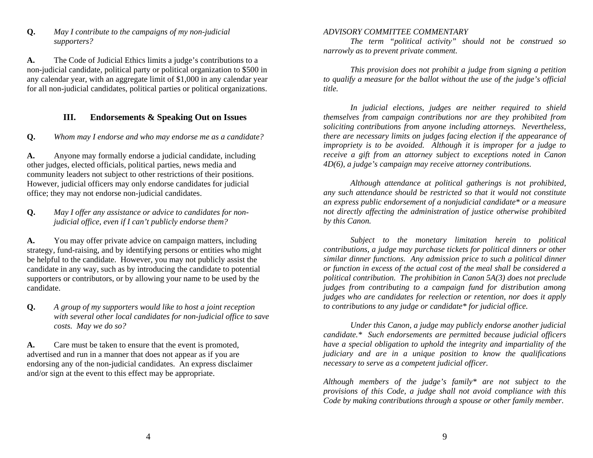**Q.** *May I contribute to the campaigns of my non-judicial supporters?* 

**A.** The Code of Judicial Ethics limits a judge's contributions to a non-judicial candidate, political party or political organization to \$500 in any calendar year, with an aggregate limit of \$1,000 in any calendar year for all non-judicial candidates, political parties or political organizations.

#### **III.Endorsements & Speaking Out on Issues**

**Q.** *Whom may I endorse and who may endorse me as a candidate?* 

**A.** Anyone may formally endorse a judicial candidate, including other judges, elected officials, political parties, news media and community leaders not subject to other restrictions of their positions. However, judicial officers may only endorse candidates for judicial office; they may not endorse non-judicial candidates.

#### **Q.** *May I offer any assistance or advice to candidates for nonjudicial office, even if I can't publicly endorse them?*

**A.** You may offer private advice on campaign matters, including strategy, fund-raising, and by identifying persons or entities who might be helpful to the candidate. However, you may not publicly assist the candidate in any way, such as by introducing the candidate to potential supporters or contributors, or by allowing your name to be used by the candidate.

**Q.** *A group of my supporters would like to host a joint reception with several other local candidates for non-judicial office to save* 

**A.** Care must be taken to ensure that the event is promoted, advertised and run in a manner that does not appear as if you are endorsing any of the non-judicial candidates. An express disclaimer and/or sign at the event to this effect may be appropriate.

#### *ADVISORY COMMITTEE COMMENTARY*

 *The term "political activity" should not be construed so narrowly as to prevent private comment.* 

 *This provision does not prohibit a judge from signing a petition to qualify a measure for the ballot without the use of the judge's official title.* 

 *In judicial elections, judges are neither required to shield themselves from campaign contributions nor are they prohibited from soliciting contributions from anyone including attorneys. Nevertheless, there are necessary limits on judges facing election if the appearance of impropriety is to be avoided. Although it is improper for a judge to receive a gift from an attorney subject to exceptions noted in Canon 4D(6), a judge's campaign may receive attorney contributions.* 

 *Although attendance at political gatherings is not prohibited, any such attendance should be restricted so that it would not constitute an express public endorsement of a nonjudicial candidate\* or a measure not directly affecting the administration of justice otherwise prohibited by this Canon.* 

 *Subject to the monetary limitation herein to political contributions, a judge may purchase tickets for political dinners or other similar dinner functions. Any admission price to such a political dinner or function in excess of the actual cost of the meal shall be considered a political contribution. The prohibition in Canon 5A(3) does not preclude judges from contributing to a campaign fund for distribution among judges who are candidates for reelection or retention, nor does it apply to contributions to any judge or candidate\* for judicial office.* 

*costs. May we do so? Under this Canon, a judge may publicly endorse another judicial candidate.\* Such endorsements are permitted because judicial officers have a special obligation to uphold the integrity and impartiality of the judiciary and are in a unique position to know the qualifications necessary to serve as a competent judicial officer.* 

> *Although members of the judge's family\* are not subject to the provisions of this Code, a judge shall not avoid compliance with this Code by making contributions through a spouse or other family member.*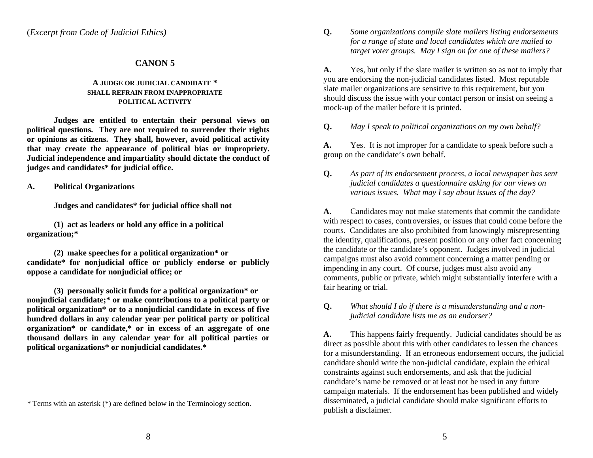#### **CANON 5**

#### **A JUDGE OR JUDICIAL CANDIDATE \* SHALL REFRAIN FROM INAPPROPRIATE POLITICAL ACTIVITY**

 **Judges are entitled to entertain their personal views on political questions. They are not required to surrender their rights or opinions as citizens. They shall, however, avoid political activity that may create the appearance of political bias or impropriety. Judicial independence and impartiality should dictate the conduct of judges and candidates\* for judicial office.** 

**(1) act as leaders or hold any office in a political organization;\*** 

**(2) make speeches for a political organization\* or candidate\* for nonjudicial office or publicly endorse or publicly oppose a candidate for nonjudicial office; or** 

**(3) personally solicit funds for a political organization\* or nonjudicial candidate;\* or make contributions to a political party or political organization\* or to a nonjudicial candidate in excess of five hundred dollars in any calendar year per political party or political organization\* or candidate,\* or in excess of an aggregate of one thousand dollars in any calendar year for all political parties or political organizations\* or nonjudicial candidates.\*** 

(*Excerpt from Code of Judicial Ethics)* **Q.** *Some organizations compile slate mailers listing endorsements for a range of state and local candidates which are mailed to target voter groups. May I sign on for one of these mailers?* 

> **A.** Yes, but only if the slate mailer is written so as not to imply that you are endorsing the non-judicial candidates listed. Most reputable slate mailer organizations are sensitive to this requirement, but you should discuss the issue with your contact person or insist on seeing a mock-up of the mailer before it is printed.

**Q.** *May I speak to political organizations on my own behalf?* 

**A.** Yes. It is not improper for a candidate to speak before such a group on the candidate's own behalf.

**Q.** *As part of its endorsement process, a local newspaper has sent judicial candidates a questionnaire asking for our views on*  **4.** Political Organizations *Political Organizations various issues. What may I say about issues of the day? various issues. What may I say about issues of the day?* 

**Judges and candidates\* for judicial office shall not A.** Candidates may not make statements that commit the candidate with respect to cases, controversies, or issues that could come before the courts. Candidates are also prohibited from knowingly misrepresenting the identity, qualifications, present position or any other fact concerning the candidate or the candidate's opponent. Judges involved in judicial campaigns must also avoid comment concerning a matter pending or impending in any court. Of course, judges must also avoid any comments, public or private, which might substantially interfere with a fair hearing or trial.

> **Q.** *What should I do if there is a misunderstanding and a nonjudicial candidate lists me as an endorser?*

**A.** This happens fairly frequently. Judicial candidates should be as direct as possible about this with other candidates to lessen the chances for a misunderstanding. If an erroneous endorsement occurs, the judicial candidate should write the non-judicial candidate, explain the ethical constraints against such endorsements, and ask that the judicial candidate's name be removed or at least not be used in any future campaign materials. If the endorsement has been published and widely disseminated, a judicial candidate should make significant efforts to publish a disclaimer.

*<sup>\*</sup>* Terms with an asterisk (\*) are defined below in the Terminology section.